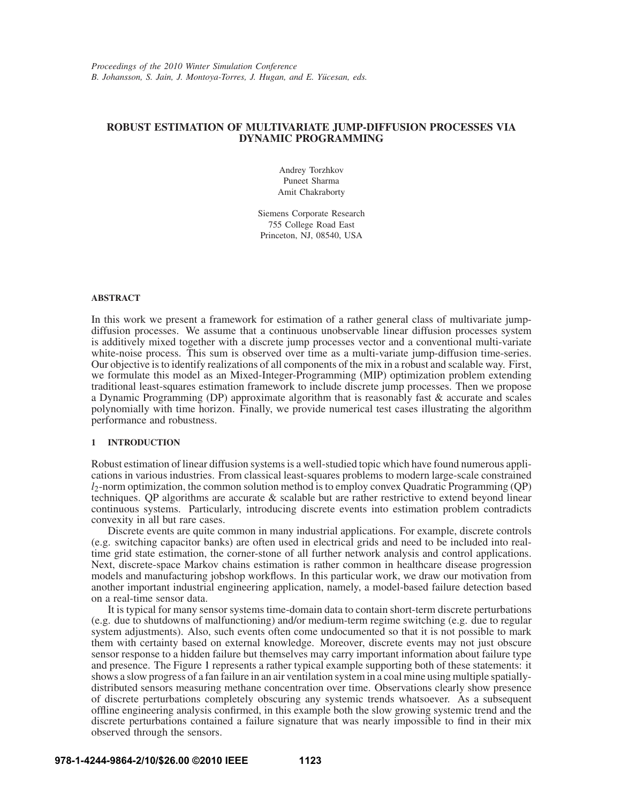# **ROBUST ESTIMATION OF MULTIVARIATE JUMP-DIFFUSION PROCESSES VIA DYNAMIC PROGRAMMING**

Andrey Torzhkov Puneet Sharma Amit Chakraborty

Siemens Corporate Research 755 College Road East Princeton, NJ, 08540, USA

## **ABSTRACT**

In this work we present a framework for estimation of a rather general class of multivariate jumpdiffusion processes. We assume that a continuous unobservable linear diffusion processes system is additively mixed together with a discrete jump processes vector and a conventional multi-variate white-noise process. This sum is observed over time as a multi-variate jump-diffusion time-series. Our objective is to identify realizations of all components of the mix in a robust and scalable way. First, we formulate this model as an Mixed-Integer-Programming (MIP) optimization problem extending traditional least-squares estimation framework to include discrete jump processes. Then we propose a Dynamic Programming (DP) approximate algorithm that is reasonably fast & accurate and scales polynomially with time horizon. Finally, we provide numerical test cases illustrating the algorithm performance and robustness.

#### **1 INTRODUCTION**

Robust estimation of linear diffusion systems is a well-studied topic which have found numerous applications in various industries. From classical least-squares problems to modern large-scale constrained *l*2-norm optimization, the common solution method is to employ convex Quadratic Programming (QP) techniques. QP algorithms are accurate & scalable but are rather restrictive to extend beyond linear continuous systems. Particularly, introducing discrete events into estimation problem contradicts convexity in all but rare cases.

Discrete events are quite common in many industrial applications. For example, discrete controls (e.g. switching capacitor banks) are often used in electrical grids and need to be included into realtime grid state estimation, the corner-stone of all further network analysis and control applications. Next, discrete-space Markov chains estimation is rather common in healthcare disease progression models and manufacturing jobshop workflows. In this particular work, we draw our motivation from another important industrial engineering application, namely, a model-based failure detection based on a real-time sensor data.

It is typical for many sensor systems time-domain data to contain short-term discrete perturbations (e.g. due to shutdowns of malfunctioning) and/or medium-term regime switching (e.g. due to regular system adjustments). Also, such events often come undocumented so that it is not possible to mark them with certainty based on external knowledge. Moreover, discrete events may not just obscure sensor response to a hidden failure but themselves may carry important information about failure type and presence. The Figure 1 represents a rather typical example supporting both of these statements: it shows a slow progress of a fan failure in an air ventilation system in a coal mine using multiple spatiallydistributed sensors measuring methane concentration over time. Observations clearly show presence of discrete perturbations completely obscuring any systemic trends whatsoever. As a subsequent offline engineering analysis confirmed, in this example both the slow growing systemic trend and the discrete perturbations contained a failure signature that was nearly impossible to find in their mix observed through the sensors.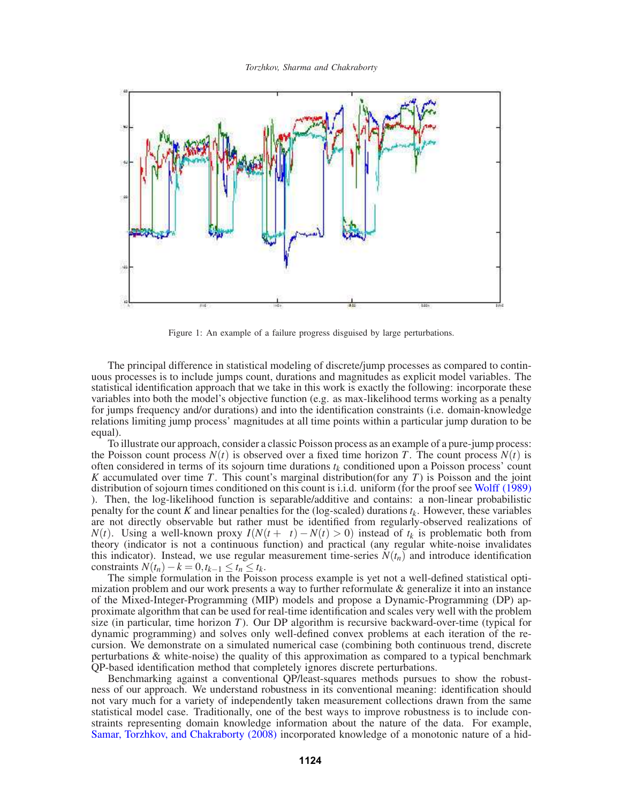

Figure 1: An example of a failure progress disguised by large perturbations.

The principal difference in statistical modeling of discrete/jump processes as compared to continuous processes is to include jumps count, durations and magnitudes as explicit model variables. The statistical identification approach that we take in this work is exactly the following: incorporate these variables into both the model's objective function (e.g. as max-likelihood terms working as a penalty for jumps frequency and/or durations) and into the identification constraints (i.e. domain-knowledge relations limiting jump process' magnitudes at all time points within a particular jump duration to be equal).

To illustrate our approach, consider a classic Poisson process as an example of a pure-jump process: the Poisson count process  $N(t)$  is observed over a fixed time horizon *T*. The count process  $N(t)$  is often considered in terms of its sojourn time durations  $t_k$  conditioned upon a Poisson process' count *K* accumulated over time *T*. This count's marginal distribution(for any *T*) is Poisson and the joint distribution of sojourn times conditioned on this count is i.i.d. uniform (for the proof see Wolff (1989) ). Then, the log-likelihood function is separable/additive and contains: a non-linear probabilistic penalty for the count *K* and linear penalties for the (log-scaled) durations  $t_k$ . However, these variables are not directly observable but rather must be identified from regularly-observed realizations of *N*(*t*). Using a well-known proxy  $I(N(t + \delta t) - N(t) > 0)$  instead of  $t_k$  is problematic both from theory (indicator is not a continuous function) and practical (any regular white-noise invalidates this indicator). Instead, we use regular measurement time-series  $N(t_n)$  and introduce identification constraints  $N(t_n) - k = 0, t_{k-1} \le t_n \le t_k$ .

The simple formulation in the Poisson process example is yet not a well-defined statistical optimization problem and our work presents a way to further reformulate  $\&$  generalize it into an instance of the Mixed-Integer-Programming (MIP) models and propose a Dynamic-Programming (DP) approximate algorithm that can be used for real-time identification and scales very well with the problem size (in particular, time horizon *T*). Our DP algorithm is recursive backward-over-time (typical for dynamic programming) and solves only well-defined convex problems at each iteration of the recursion. We demonstrate on a simulated numerical case (combining both continuous trend, discrete perturbations & white-noise) the quality of this approximation as compared to a typical benchmark QP-based identification method that completely ignores discrete perturbations.

Benchmarking against a conventional QP/least-squares methods pursues to show the robustness of our approach. We understand robustness in its conventional meaning: identification should not vary much for a variety of independently taken measurement collections drawn from the same statistical model case. Traditionally, one of the best ways to improve robustness is to include constraints representing domain knowledge information about the nature of the data. For example, Samar, Torzhkov, and Chakraborty (2008) incorporated knowledge of a monotonic nature of a hid-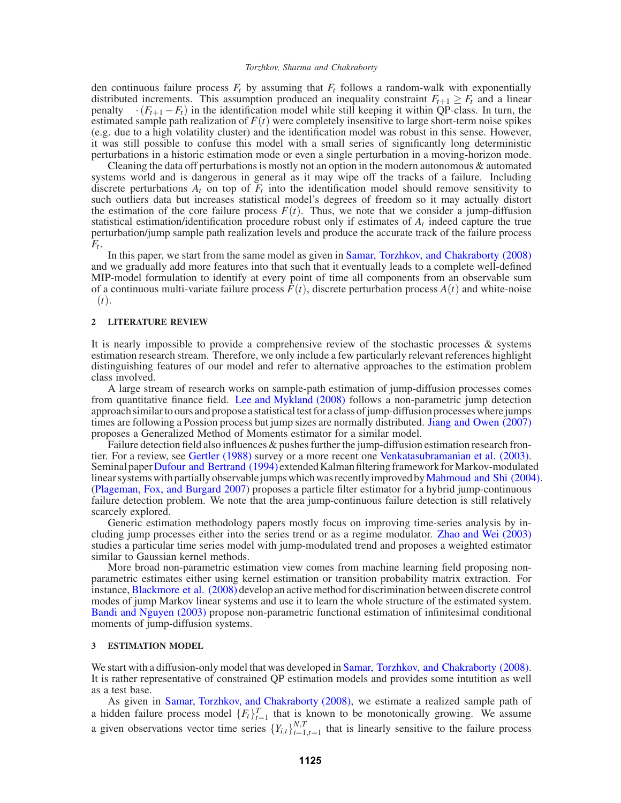## *Torzhkov, Sharma and Chakraborty*

den continuous failure process *Ft* by assuming that *Ft* follows a random-walk with exponentially distributed increments. This assumption produced an inequality constraint  $F_{t+1} \geq F_t$  and a linear penalty  $\lambda \cdot (F_{t+1} - F_t)$  in the identification model while still keeping it within QP-class. In turn, the estimated sample path realization of  $F(t)$  were completely insensitive to large short-term noise spikes (e.g. due to a high volatility cluster) and the identification model was robust in this sense. However, it was still possible to confuse this model with a small series of significantly long deterministic perturbations in a historic estimation mode or even a single perturbation in a moving-horizon mode.

Cleaning the data off perturbations is mostly not an option in the modern autonomous & automated systems world and is dangerous in general as it may wipe off the tracks of a failure. Including discrete perturbations  $A_t$  on top of  $F_t$  into the identification model should remove sensitivity to such outliers data but increases statistical model's degrees of freedom so it may actually distort the estimation of the core failure process  $F(t)$ . Thus, we note that we consider a jump-diffusion statistical estimation/identification procedure robust only if estimates of *At* indeed capture the true perturbation/jump sample path realization levels and produce the accurate track of the failure process *Ft*.

In this paper, we start from the same model as given in Samar, Torzhkov, and Chakraborty (2008) and we gradually add more features into that such that it eventually leads to a complete well-defined MIP-model formulation to identify at every point of time all components from an observable sum of a continuous multi-variate failure process  $F(t)$ , discrete perturbation process  $A(t)$  and white-noise  $\varepsilon(t)$ .

#### **2 LITERATURE REVIEW**

It is nearly impossible to provide a comprehensive review of the stochastic processes  $\&$  systems estimation research stream. Therefore, we only include a few particularly relevant references highlight distinguishing features of our model and refer to alternative approaches to the estimation problem class involved.

A large stream of research works on sample-path estimation of jump-diffusion processes comes from quantitative finance field. Lee and Mykland (2008) follows a non-parametric jump detection approach similar to ours and propose a statistical test for a class of jump-diffusion processes where jumps times are following a Possion process but jump sizes are normally distributed. Jiang and Owen (2007) proposes a Generalized Method of Moments estimator for a similar model.

Failure detection field also influences & pushes further the jump-diffusion estimation research frontier. For a review, see Gertler (1988) survey or a more recent one Venkatasubramanian et al. (2003). Seminal paperDufour and Bertrand (1994) extended Kalman filtering framework for Markov-modulated linear systems with partially observable jumps which was recently improved by Mahmoud and Shi (2004). (Plageman, Fox, and Burgard 2007) proposes a particle filter estimator for a hybrid jump-continuous failure detection problem. We note that the area jump-continuous failure detection is still relatively scarcely explored.

Generic estimation methodology papers mostly focus on improving time-series analysis by including jump processes either into the series trend or as a regime modulator. Zhao and Wei (2003) studies a particular time series model with jump-modulated trend and proposes a weighted estimator similar to Gaussian kernel methods.

More broad non-parametric estimation view comes from machine learning field proposing nonparametric estimates either using kernel estimation or transition probability matrix extraction. For instance, Blackmore et al. (2008) develop an active method for discrimination between discrete control modes of jump Markov linear systems and use it to learn the whole structure of the estimated system. Bandi and Nguyen (2003) propose non-parametric functional estimation of infinitesimal conditional moments of jump-diffusion systems.

## **3 ESTIMATION MODEL**

We start with a diffusion-only model that was developed in Samar, Torzhkov, and Chakraborty (2008). It is rather representative of constrained QP estimation models and provides some intutition as well as a test base.

As given in Samar, Torzhkov, and Chakraborty (2008), we estimate a realized sample path of a hidden failure process model  ${F_t}_{t=1}^T$  that is known to be monotonically growing. We assume a given observations vector time series  ${Y_{i,t}}_{i=1,t=1}^{N,T}$  that is linearly sensitive to the failure process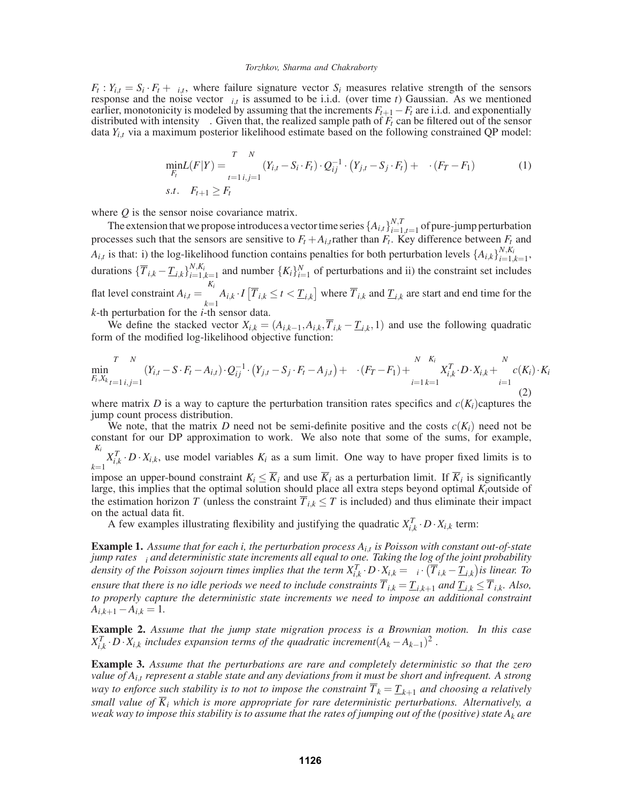#### *Torzhkov, Sharma and Chakraborty*

 $F_t$ :  $Y_{i,t} = S_i \cdot F_t + \varepsilon_{i,t}$ , where failure signature vector  $S_i$  measures relative strength of the sensors response and the noise vector  $\varepsilon_{i,t}$  is assumed to be i.i.d. (over time *t*) Gaussian. As we mentioned earlier, monotonicity is modeled by assuming that the increments  $F_{t+1}-F_t$  are i.i.d. and exponentially distributed with intensity  $\lambda$ . Given that, the realized sample path of  $F_t$  can be filtered out of the sensor data *Yi*,*<sup>t</sup>* via a maximum posterior likelihood estimate based on the following constrained QP model:

$$
\min_{F_t} L(F|Y) = \sum_{t=1}^T \sum_{i,j=1}^N (Y_{i,t} - S_i \cdot F_t) \cdot Q_{ij}^{-1} \cdot (Y_{j,t} - S_j \cdot F_t) + \lambda \cdot (F_T - F_1)
$$
\n(1)  
\ns.t.  $F_{t+1} \ge F_t$ 

where *Q* is the sensor noise covariance matrix.

The extension that we propose introduces a vector time series  $\{A_{i,t}\}_{i=1}^{N,T}$  of pure-jump perturbation processes such that the sensors are sensitive to  $F_t + A_{i,t}$  rather than  $F_t$ . Key difference between  $F_t$  and *A<sub>i,t</sub>* is that: i) the log-likelihood function contains penalties for both perturbation levels  $\{A_{i,k}\}_{i=1,k=1}^{N,K_i}$ , durations  ${\{\overline{T}_{i,k} - \underline{T}_{i,k}\}}_{i=1,k=1}^{N,K_i}$  and number  ${K_i}\}_{i=1}^N$  of perturbations and ii) the constraint set includes flat level constraint  $A_{i,t} = \sum_{i=1}^{K_i} A_i$  $\sum_{k=1}^{s} A_{i,k} \cdot I\left[\overline{T}_{i,k} \le t < \underline{T}_{i,k}\right]$  where  $\overline{T}_{i,k}$  and  $\underline{T}_{i,k}$  are start and end time for the *k*-th perturbation for the *i*-th sensor data.

We define the stacked vector  $X_{i,k} = (A_{i,k-1}, A_{i,k}, \overline{T}_{i,k} - \underline{T}_{i,k}, 1)$  and use the following quadratic form of the modified log-likelihood objective function:

$$
\min_{F_t, X_k} \sum_{t=1}^T \sum_{i,j=1}^N (Y_{i,t} - S \cdot F_t - A_{i,t}) \cdot Q_{ij}^{-1} \cdot (Y_{j,t} - S_j \cdot F_t - A_{j,t}) + \lambda \cdot (F_T - F_1) + \sum_{i=1}^N \sum_{k=1}^{K_i} X_{i,k}^T \cdot D \cdot X_{i,k} + \sum_{i=1}^N c(K_i) \cdot K_i
$$
\n(2)

where matrix *D* is a way to capture the perturbation transition rates specifics and  $c(K_i)$ captures the jump count process distribution.

We note, that the matrix *D* need not be semi-definite positive and the costs  $c(K_i)$  need not be constant for our DP approximation to work. We also note that some of the sums, for example, *Ki* ∑ *k*=1  $X_{i,k}^T \cdot D \cdot X_{i,k}$ , use model variables  $K_i$  as a sum limit. One way to have proper fixed limits is to

impose an upper-bound constraint  $K_i \leq \overline{K}_i$  and use  $\overline{K}_i$  as a perturbation limit. If  $\overline{K}_i$  is significantly large, this implies that the optimal solution should place all extra steps beyond optimal *Ki*outside of the estimation horizon *T* (unless the constraint  $\overline{T}_{i,k} \leq T$  is included) and thus eliminate their impact on the actual data fit.

A few examples illustrating flexibility and justifying the quadratic  $X_{i,k}^T \cdot D \cdot X_{i,k}$  term:

**Example 1.** *Assume that for each i, the perturbation process Ai*,*<sup>t</sup> is Poisson with constant out-of-state jump rates* <sup>µ</sup>*<sup>i</sup> and deterministic state increments all equal to one. Taking the log of the joint probability density of the Poisson sojourn times implies that the term*  $X_{i,k}^T\cdot D\cdot X_{i,k}=\mu_i\cdot(\overline{T}_{i,k}-\underline{T}_{i,k})$  is linear. To *ensure that there is no idle periods we need to include constraints*  $\overline{T}_{i,k} = \underline{T}_{i,k+1}$  *and*  $\underline{T}_{i,k} \leq \overline{T}_{i,k}$ . Also, *to properly capture the deterministic state increments we need to impose an additional constraint*  $A_{i,k+1} - A_{i,k} = 1.$ 

**Example 2.** *Assume that the jump state migration process is a Brownian motion. In this case*  $X_{i,k}^T \cdot D \cdot X_{i,k}$  includes expansion terms of the quadratic increment $(A_k - A_{k-1})^2$ .

**Example 3.** *Assume that the perturbations are rare and completely deterministic so that the zero value of Ai*,*<sup>t</sup> represent a stable state and any deviations from it must be short and infrequent. A strong way to enforce such stability is to not to impose the constraint*  $\overline{T}_k = \underline{T}_{k+1}$  *and choosing a relatively small value of*  $\overline{K}_i$  *which is more appropriate for rare deterministic perturbations. Alternatively, a weak way to impose this stability is to assume that the rates of jumping out of the (positive) state Ak are*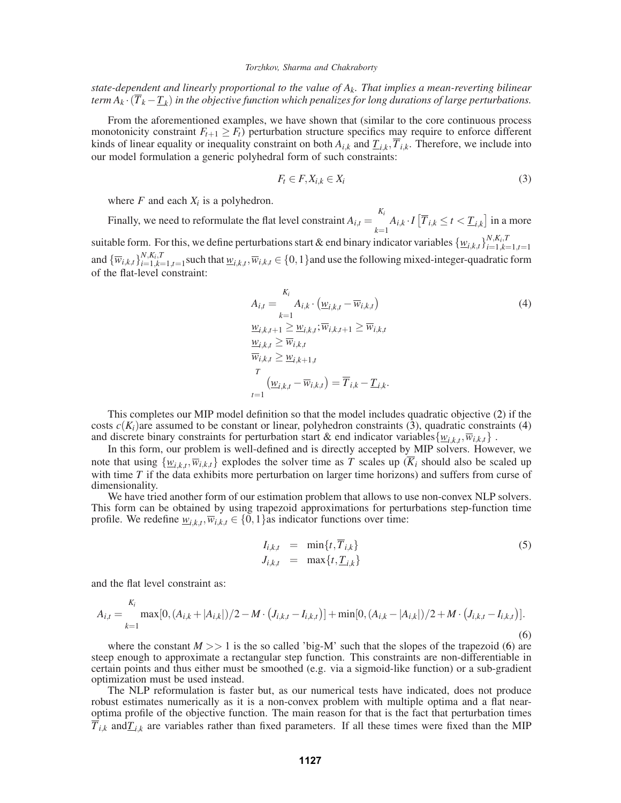*state-dependent and linearly proportional to the value of Ak. That implies a mean-reverting bilinear term*  $A_k \cdot (\overline{T}_k - \underline{T}_k)$  *in the objective function which penalizes for long durations of large perturbations.* 

From the aforementioned examples, we have shown that (similar to the core continuous process monotonicity constraint  $F_{t+1} \geq F_t$ ) perturbation structure specifics may require to enforce different kinds of linear equality or inequality constraint on both  $A_{i,k}$  and  $\underline{T}_{i,k}$ ,  $\overline{T}_{i,k}$ . Therefore, we include into our model formulation a generic polyhedral form of such constraints:

$$
F_t \in F, X_{i,k} \in X_i \tag{3}
$$

where  $F$  and each  $X_i$  is a polyhedron.

Finally, we need to reformulate the flat level constraint  $A_{i,t} = \sum_{i=1}^{K_i} A_i$  $\sum_{k=1}^{s} A_{i,k} \cdot I \left[ \overline{T}_{i,k} \le t < \underline{T}_{i,k} \right]$  in a more suitable form. For this, we define perturbations start & end binary indicator variables  $\{w_{i,k,t}\}_{i=1,k=1,k=1}^{N,K_i,T}$ and  ${\{\overline{w}_{i,k,t}\}}_{i=1,k=1,k=1}^{N,K_i,T}$  such that  $\underline{w}_{i,k,t}$ ,  $\overline{w}_{i,k,t} \in \{0,1\}$  and use the following mixed-integer-quadratic form of the flat-level constraint:

$$
A_{i,t} = \sum_{k=1}^{K_i} A_{i,k} \cdot (\underline{w}_{i,k,t} - \overline{w}_{i,k,t})
$$
  
\n
$$
\underline{w}_{i,k,t+1} \ge \underline{w}_{i,k,t}; \overline{w}_{i,k,t+1} \ge \overline{w}_{i,k,t}
$$
  
\n
$$
\underline{w}_{i,k,t} \ge \overline{w}_{i,k,t}
$$
  
\n
$$
\overline{w}_{i,k,t} \ge \underline{w}_{i,k+1,t}
$$
  
\n
$$
\sum_{t=1}^{T} (\underline{w}_{i,k,t} - \overline{w}_{i,k,t}) = \overline{T}_{i,k} - \underline{T}_{i,k}.
$$
\n(4)

This completes our MIP model definition so that the model includes quadratic objective (2) if the costs  $c(K_i)$  are assumed to be constant or linear, polyhedron constraints (3), quadratic constraints (4) and discrete binary constraints for perturbation start & end indicator variables  $\{w_{i,k,t}, \overline{w}_{i,k,t}\}\.$ 

In this form, our problem is well-defined and is directly accepted by MIP solvers. However, we note that using  $\{\underline{w}_{i,k,t}, \overline{w}_{i,k,t}\}$  explodes the solver time as *T* scales up ( $\overline{K}_i$  should also be scaled up with time *T* if the data exhibits more perturbation on larger time horizons) and suffers from curse of dimensionality.

We have tried another form of our estimation problem that allows to use non-convex NLP solvers. This form can be obtained by using trapezoid approximations for perturbations step-function time profile. We redefine  $w_{i,k,t}$ ,  $\overline{w}_{i,k,t} \in \{0,1\}$  as indicator functions over time:

$$
I_{i,k,t} = \min\{t, \overline{T}_{i,k}\}
$$
  
\n
$$
J_{i,k,t} = \max\{t, \underline{T}_{i,k}\}
$$
\n(5)

and the flat level constraint as:

$$
A_{i,t} = \sum_{k=1}^{K_i} \max[0, (A_{i,k} + |A_{i,k}|)/2 - M \cdot (J_{i,k,t} - I_{i,k,t})] + \min[0, (A_{i,k} - |A_{i,k}|)/2 + M \cdot (J_{i,k,t} - I_{i,k,t})].
$$
\n(6)

where the constant  $M >> 1$  is the so called 'big-M' such that the slopes of the trapezoid (6) are steep enough to approximate a rectangular step function. This constraints are non-differentiable in certain points and thus either must be smoothed (e.g. via a sigmoid-like function) or a sub-gradient optimization must be used instead.

The NLP reformulation is faster but, as our numerical tests have indicated, does not produce robust estimates numerically as it is a non-convex problem with multiple optima and a flat nearoptima profile of the objective function. The main reason for that is the fact that perturbation times  $\overline{T}_{i,k}$  and $\underline{T}_{i,k}$  are variables rather than fixed parameters. If all these times were fixed than the MIP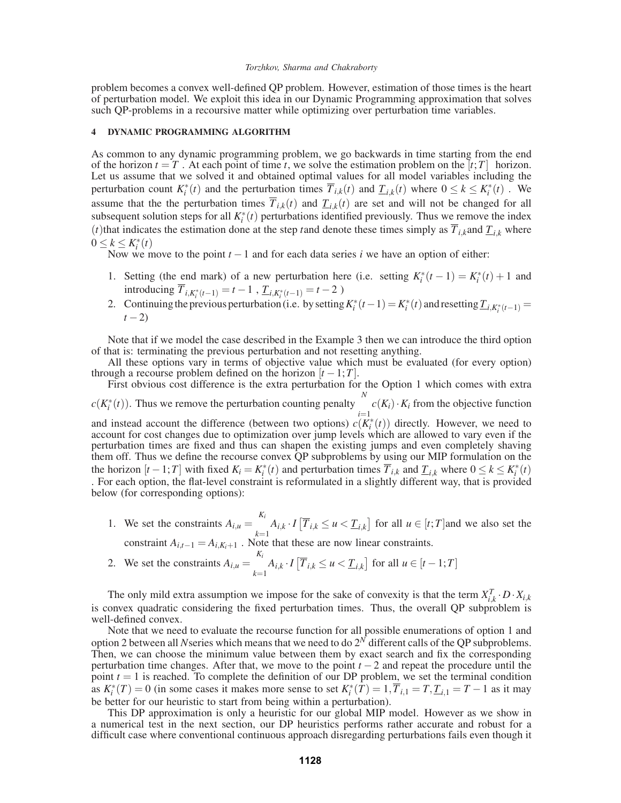problem becomes a convex well-defined QP problem. However, estimation of those times is the heart of perturbation model. We exploit this idea in our Dynamic Programming approximation that solves such QP-problems in a recoursive matter while optimizing over perturbation time variables.

## **4 DYNAMIC PROGRAMMING ALGORITHM**

As common to any dynamic programming problem, we go backwards in time starting from the end of the horizon  $t = T$ . At each point of time *t*, we solve the estimation problem on the  $[t;T]$  horizon. Let us assume that we solved it and obtained optimal values for all model variables including the perturbation count  $K_i^*(t)$  and the perturbation times  $\overline{T}_{i,k}(t)$  and  $\underline{T}_{i,k}(t)$  where  $0 \le k \le K_i^*(t)$ . We assume that the the perturbation times  $\overline{T}_{i,k}(t)$  and  $\underline{T}_{i,k}(t)$  are set and will not be changed for all subsequent solution steps for all  $K_i^*(t)$  perturbations identified previously. Thus we remove the index (*t*)that indicates the estimation done at the step *t* and denote these times simply as  $\overline{T}_{i,k}$  and  $\underline{T}_{i,k}$  where 0 ≤  $k$  ≤  $K_i^*(t)$ 

Now we move to the point  $t - 1$  and for each data series *i* we have an option of either:

- 1. Setting (the end mark) of a new perturbation here (i.e. setting  $K_i^*(t-1) = K_i^*(t) + 1$  and  $\text{introducing } \overline{T}_{i,K_i^*(t-1)} = t - 1$  ,  $\underline{T}_{i,K_i^*(t-1)} = t - 2$  )
- 2. Continuing the previous perturbation (i.e. by setting  $K_i^*(t-1) = K_i^*(t)$  and resetting  $\underline{T}_{i,K_i^*(t-1)} =$  $t - 2)$

Note that if we model the case described in the Example 3 then we can introduce the third option of that is: terminating the previous perturbation and not resetting anything.

All these options vary in terms of objective value which must be evaluated (for every option) through a recourse problem defined on the horizon  $[t-1;T]$ .

First obvious cost difference is the extra perturbation for the Option 1 which comes with extra

 $c(K_i^*(t))$ . Thus we remove the perturbation counting penalty  $\sum_{i=1}^{N}$  $\sum_{i=1}^n c(K_i) \cdot K_i$  from the objective function and instead account the difference (between two options)  $c(K_i^*(t))$  directly. However, we need to account for cost changes due to optimization over jump levels which are allowed to vary even if the perturbation times are fixed and thus can shapen the existing jumps and even completely shaving them off. Thus we define the recourse convex QP subproblems by using our MIP formulation on the the horizon  $[t-1;T]$  with fixed  $K_i = K_i^*(t)$  and perturbation times  $\overline{T}_{i,k}$  and  $\underline{T}_{i,k}$  where  $0 \le k \le K_i^*(t)$ . For each option, the flat-level constraint is reformulated in a slightly different way, that is provided below (for corresponding options):

- 1. We set the constraints  $A_{i,u} = \sum_{i=1}^{K_i} A_i$  $\sum_{k=1}^{n} A_{i,k} \cdot I \left[ \overline{T}_{i,k} \le u < \underline{T}_{i,k} \right]$  for all  $u \in [t;T]$  and we also set the constraint  $A_{i,t-1} = A_{i,K_i+1}$ . Note that these are now linear constraints.
- 2. We set the constraints  $A_{i,u} = \sum_{i=1}^{K_i} A_i$  $\sum_{k=1}^{n} A_{i,k} \cdot I \left[ \overline{T}_{i,k} \le u < \underline{T}_{i,k} \right]$  for all  $u \in [t-1;T]$

The only mild extra assumption we impose for the sake of convexity is that the term  $X_{i,k}^T \cdot D \cdot X_{i,k}$ is convex quadratic considering the fixed perturbation times. Thus, the overall QP subproblem is well-defined convex.

Note that we need to evaluate the recourse function for all possible enumerations of option 1 and option 2 between all *N* series which means that we need to do  $2^N$  different calls of the QP subproblems. Then, we can choose the minimum value between them by exact search and fix the corresponding perturbation time changes. After that, we move to the point *t* −2 and repeat the procedure until the point  $t = 1$  is reached. To complete the definition of our DP problem, we set the terminal condition as  $K_i^*(T) = 0$  (in some cases it makes more sense to set  $K_i^*(T) = 1, \overline{T}_{i,1} = T, \underline{T}_{i,1} = T - 1$  as it may be better for our heuristic to start from being within a perturbation).

This DP approximation is only a heuristic for our global MIP model. However as we show in a numerical test in the next section, our DP heuristics performs rather accurate and robust for a difficult case where conventional continuous approach disregarding perturbations fails even though it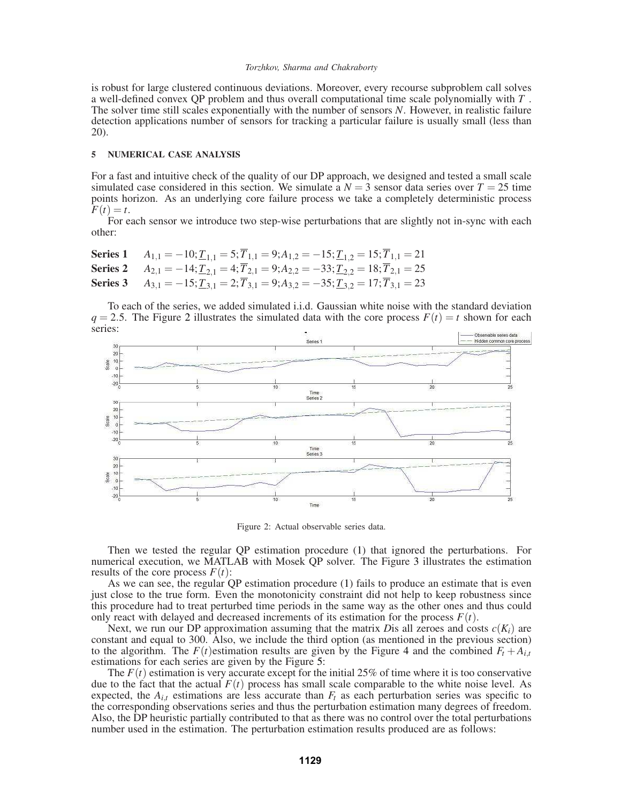#### *Torzhkov, Sharma and Chakraborty*

is robust for large clustered continuous deviations. Moreover, every recourse subproblem call solves a well-defined convex QP problem and thus overall computational time scale polynomially with *T* . The solver time still scales exponentially with the number of sensors *N*. However, in realistic failure detection applications number of sensors for tracking a particular failure is usually small (less than 20).

# **5 NUMERICAL CASE ANALYSIS**

For a fast and intuitive check of the quality of our DP approach, we designed and tested a small scale simulated case considered in this section. We simulate a  $N = 3$  sensor data series over  $T = 25$  time points horizon. As an underlying core failure process we take a completely deterministic process  $F(t) = t$ .

For each sensor we introduce two step-wise perturbations that are slightly not in-sync with each other:

| Series 1 $A_{1,1} = -10; \underline{T}_{1,1} = 5; T_{1,1} = 9; A_{1,2} = -15; \underline{T}_{1,2} = 15; T_{1,1} = 21$ |
|-----------------------------------------------------------------------------------------------------------------------|
| Series 2 $A_{2,1} = -14; I_{2,1} = 4; T_{2,1} = 9; A_{2,2} = -33; I_{2,2} = 18; T_{2,1} = 25$                         |
| Series 3 $A_{3,1} = -15; I_{3,1} = 2; T_{3,1} = 9; A_{3,2} = -35; I_{3,2} = 17; T_{3,1} = 23$                         |

To each of the series, we added simulated i.i.d. Gaussian white noise with the standard deviation  $q = 2.5$ . The Figure 2 illustrates the simulated data with the core process  $F(t) = t$  shown for each series:



Figure 2: Actual observable series data.

Then we tested the regular QP estimation procedure (1) that ignored the perturbations. For numerical execution, we MATLAB with Mosek QP solver. The Figure 3 illustrates the estimation results of the core process  $F(t)$ :

As we can see, the regular QP estimation procedure (1) fails to produce an estimate that is even just close to the true form. Even the monotonicity constraint did not help to keep robustness since this procedure had to treat perturbed time periods in the same way as the other ones and thus could only react with delayed and decreased increments of its estimation for the process  $F(t)$ .

Next, we run our DP approximation assuming that the matrix *D*is all zeroes and costs  $c(K<sub>i</sub>)$  are constant and equal to 300. Also, we include the third option (as mentioned in the previous section) to the algorithm. The  $F(t)$  estimation results are given by the Figure 4 and the combined  $F_t + A_{i,t}$ estimations for each series are given by the Figure 5:

The  $F(t)$  estimation is very accurate except for the initial 25% of time where it is too conservative due to the fact that the actual  $F(t)$  process has small scale comparable to the white noise level. As expected, the  $A_{i,t}$  estimations are less accurate than  $F_t$  as each perturbation series was specific to the corresponding observations series and thus the perturbation estimation many degrees of freedom. Also, the DP heuristic partially contributed to that as there was no control over the total perturbations number used in the estimation. The perturbation estimation results produced are as follows: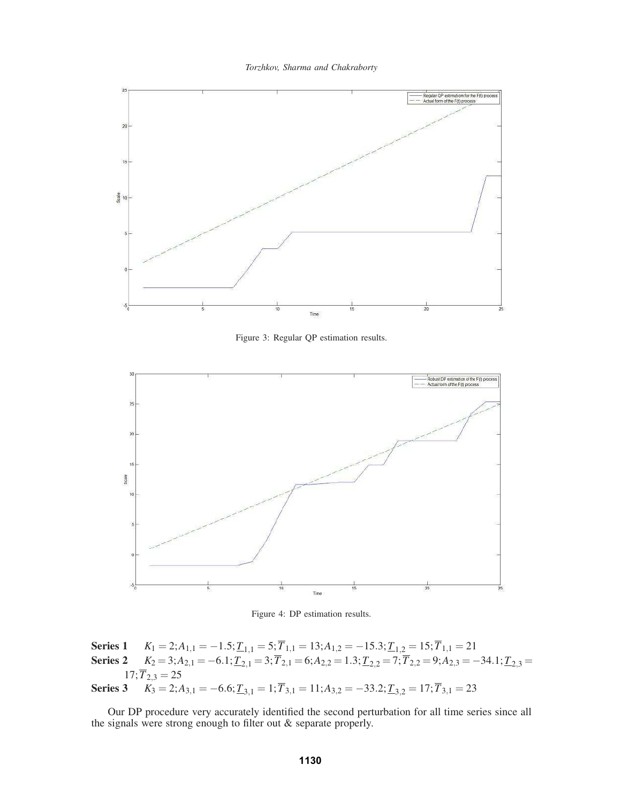*Torzhkov, Sharma and Chakraborty*



Figure 3: Regular QP estimation results.



Figure 4: DP estimation results.

**Series 1**  $K_1 = 2; A_{1,1} = -1.5; I_{1,1} = 5; \overline{T}_{1,1} = 13; A_{1,2} = -15.3; I_{1,2} = 15; \overline{T}_{1,1} = 21$ **Series 2** *K*<sub>2</sub> = 3; $A_{2,1}$  = −6.1; $\underline{T}_{2,1}$  = 3; $\overline{T}_{2,1}$  = 6; $A_{2,2}$  = 1.3; $\underline{T}_{2,2}$  = 7; $\overline{T}_{2,2}$  = 9; $A_{2,3}$  = −34.1; $\underline{T}_{2,3}$  =  $17; \overline{T}_{2,3} = 25$ **Series 3** *K*<sub>3</sub> = 2; $A_{3,1}$  = −6.6; $\underline{T}_{3,1}$  = 1; $\overline{T}_{3,1}$  = 11; $A_{3,2}$  = −33.2; $\underline{T}_{3,2}$  = 17; $\overline{T}_{3,1}$  = 23

Our DP procedure very accurately identified the second perturbation for all time series since all the signals were strong enough to filter out & separate properly.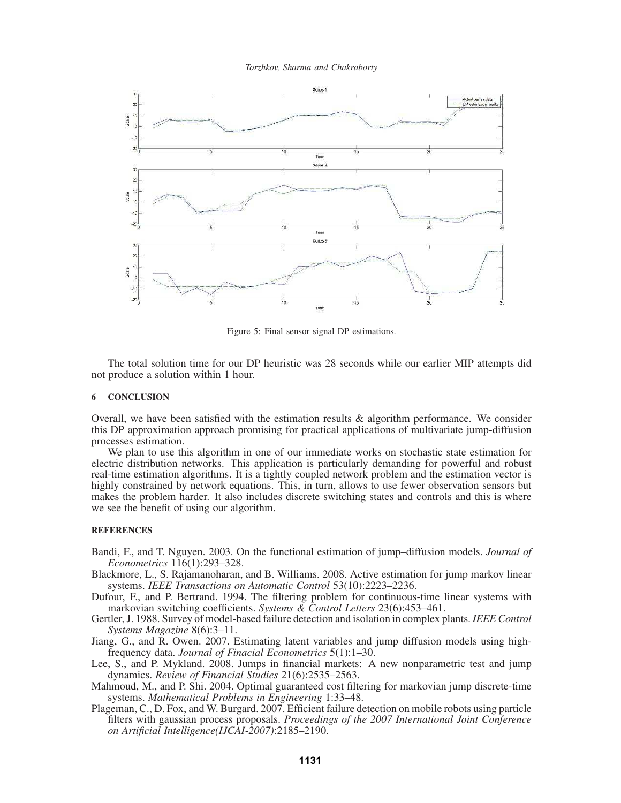*Torzhkov, Sharma and Chakraborty*



Figure 5: Final sensor signal DP estimations.

The total solution time for our DP heuristic was 28 seconds while our earlier MIP attempts did not produce a solution within 1 hour.

# **6 CONCLUSION**

Overall, we have been satisfied with the estimation results  $\&$  algorithm performance. We consider this DP approximation approach promising for practical applications of multivariate jump-diffusion processes estimation.

We plan to use this algorithm in one of our immediate works on stochastic state estimation for electric distribution networks. This application is particularly demanding for powerful and robust real-time estimation algorithms. It is a tightly coupled network problem and the estimation vector is highly constrained by network equations. This, in turn, allows to use fewer observation sensors but makes the problem harder. It also includes discrete switching states and controls and this is where we see the benefit of using our algorithm.

## **REFERENCES**

- Bandi, F., and T. Nguyen. 2003. On the functional estimation of jump–diffusion models. *Journal of Econometrics* 116(1):293–328.
- Blackmore, L., S. Rajamanoharan, and B. Williams. 2008. Active estimation for jump markov linear systems. *IEEE Transactions on Automatic Control* 53(10):2223–2236.
- Dufour, F., and P. Bertrand. 1994. The filtering problem for continuous-time linear systems with markovian switching coefficients. *Systems & Control Letters* 23(6):453–461.
- Gertler, J. 1988. Survey of model-based failure detection and isolation in complex plants. *IEEE Control Systems Magazine* 8(6):3–11.
- Jiang, G., and R. Owen. 2007. Estimating latent variables and jump diffusion models using highfrequency data. *Journal of Finacial Econometrics* 5(1):1–30.
- Lee, S., and P. Mykland. 2008. Jumps in financial markets: A new nonparametric test and jump dynamics. *Review of Financial Studies* 21(6):2535–2563.
- Mahmoud, M., and P. Shi. 2004. Optimal guaranteed cost filtering for markovian jump discrete-time systems. *Mathematical Problems in Engineering* 1:33–48.
- Plageman, C., D. Fox, and W. Burgard. 2007. Efficient failure detection on mobile robots using particle filters with gaussian process proposals. *Proceedings of the 2007 International Joint Conference on Artificial Intelligence(IJCAI-2007)*:2185–2190.